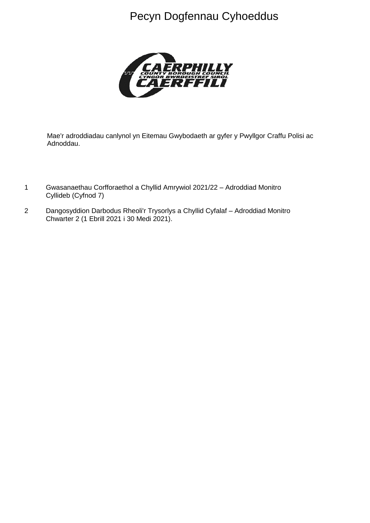# Pecyn Dogfennau Cyhoeddus



Mae'r adroddiadau canlynol yn Eitemau Gwybodaeth ar gyfer y Pwyllgor Craffu Polisi ac Adnoddau.

- 1 Gwasanaethau Corfforaethol a Chyllid Amrywiol 2021/22 Adroddiad Monitro Cyllideb (Cyfnod 7)
- 2 Dangosyddion Darbodus Rheoli'r Trysorlys a Chyllid Cyfalaf Adroddiad Monitro Chwarter 2 (1 Ebrill 2021 i 30 Medi 2021).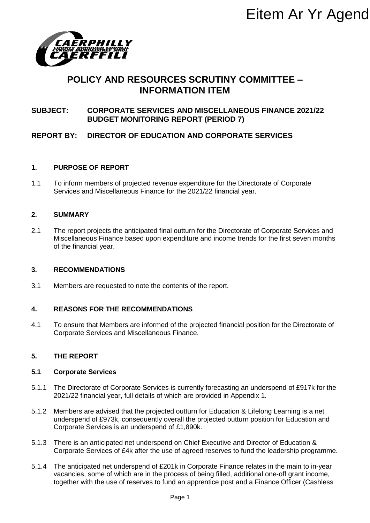

# **POLICY AND RESOURCES SCRUTINY COMMITTEE – INFORMATION ITEM**

### **SUBJECT: CORPORATE SERVICES AND MISCELLANEOUS FINANCE 2021/22 BUDGET MONITORING REPORT (PERIOD 7)**

### **REPORT BY: DIRECTOR OF EDUCATION AND CORPORATE SERVICES**

#### **1. PURPOSE OF REPORT**

1.1 To inform members of projected revenue expenditure for the Directorate of Corporate Services and Miscellaneous Finance for the 2021/22 financial year.

#### **2. SUMMARY**

2.1 The report projects the anticipated final outturn for the Directorate of Corporate Services and Miscellaneous Finance based upon expenditure and income trends for the first seven months of the financial year. EITEM AF YF Agend<br>
EES SCRUTINY COMMITTEE –<br>
SAND MISCELLANEOUS FINANCE 2021/22<br>
SAND MISCELLANEOUS FINANCE 2021/22<br>
REPORT (PERIOD 7)<br>
TION AND CORPORATE SERVICES<br>
ue expenditure for the Directorate of Corporate<br>
ue expen

#### **3. RECOMMENDATIONS**

3.1 Members are requested to note the contents of the report.

#### **4. REASONS FOR THE RECOMMENDATIONS**

4.1 To ensure that Members are informed of the projected financial position for the Directorate of Corporate Services and Miscellaneous Finance.

#### **5. THE REPORT**

#### **5.1 Corporate Services**

- 5.1.1 The Directorate of Corporate Services is currently forecasting an underspend of £917k for the 2021/22 financial year, full details of which are provided in Appendix 1.
- 5.1.2 Members are advised that the projected outturn for Education & Lifelong Learning is a net underspend of £973k, consequently overall the projected outturn position for Education and Corporate Services is an underspend of £1,890k.
- 5.1.3 There is an anticipated net underspend on Chief Executive and Director of Education & Corporate Services of £4k after the use of agreed reserves to fund the leadership programme.
- 5.1.4 The anticipated net underspend of £201k in Corporate Finance relates in the main to in-year vacancies, some of which are in the process of being filled, additional one-off grant income, together with the use of reserves to fund an apprentice post and a Finance Officer (Cashless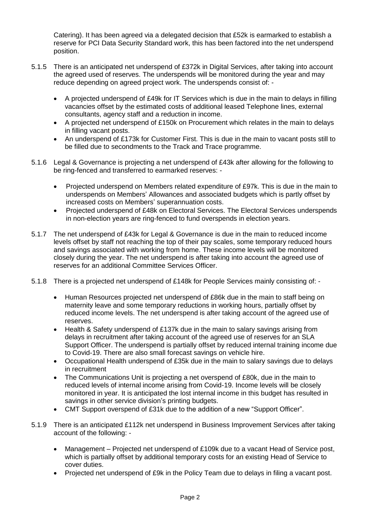Catering). It has been agreed via a delegated decision that £52k is earmarked to establish a reserve for PCI Data Security Standard work, this has been factored into the net underspend position.

- 5.1.5 There is an anticipated net underspend of £372k in Digital Services, after taking into account the agreed used of reserves. The underspends will be monitored during the year and may reduce depending on agreed project work. The underspends consist of: -
	- A projected underspend of £49k for IT Services which is due in the main to delays in filling vacancies offset by the estimated costs of additional leased Telephone lines, external consultants, agency staff and a reduction in income.
	- A projected net underspend of £150k on Procurement which relates in the main to delays in filling vacant posts.
	- An underspend of £173k for Customer First. This is due in the main to vacant posts still to be filled due to secondments to the Track and Trace programme.
- 5.1.6 Legal & Governance is projecting a net underspend of £43k after allowing for the following to be ring-fenced and transferred to earmarked reserves: -
	- Projected underspend on Members related expenditure of £97k. This is due in the main to underspends on Members' Allowances and associated budgets which is partly offset by increased costs on Members' superannuation costs.
	- Projected underspend of £48k on Electoral Services. The Electoral Services underspends in non-election years are ring-fenced to fund overspends in election years.
- 5.1.7 The net underspend of £43k for Legal & Governance is due in the main to reduced income levels offset by staff not reaching the top of their pay scales, some temporary reduced hours and savings associated with working from home. These income levels will be monitored closely during the year. The net underspend is after taking into account the agreed use of reserves for an additional Committee Services Officer.
- 5.1.8 There is a projected net underspend of £148k for People Services mainly consisting of:
	- Human Resources projected net underspend of £86k due in the main to staff being on maternity leave and some temporary reductions in working hours, partially offset by reduced income levels. The net underspend is after taking account of the agreed use of reserves.
	- Health & Safety underspend of £137k due in the main to salary savings arising from delays in recruitment after taking account of the agreed use of reserves for an SLA Support Officer. The underspend is partially offset by reduced internal training income due to Covid-19. There are also small forecast savings on vehicle hire.
	- Occupational Health underspend of £35k due in the main to salary savings due to delays in recruitment
	- The Communications Unit is projecting a net overspend of £80k, due in the main to reduced levels of internal income arising from Covid-19. Income levels will be closely monitored in year. It is anticipated the lost internal income in this budget has resulted in savings in other service division's printing budgets.
	- CMT Support overspend of £31k due to the addition of a new "Support Officer".
- 5.1.9 There is an anticipated £112k net underspend in Business Improvement Services after taking account of the following: -
	- Management Projected net underspend of £109k due to a vacant Head of Service post, which is partially offset by additional temporary costs for an existing Head of Service to cover duties.
	- Projected net underspend of £9k in the Policy Team due to delays in filing a vacant post.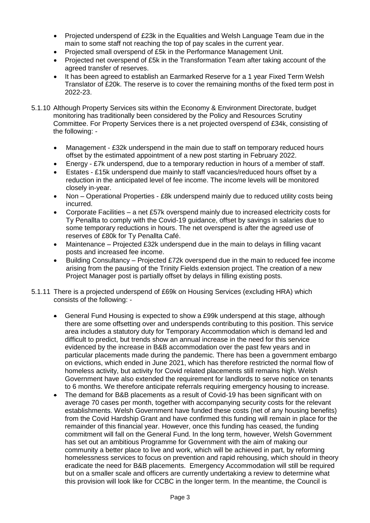- Projected underspend of £23k in the Equalities and Welsh Language Team due in the main to some staff not reaching the top of pay scales in the current year.
- Projected small overspend of £5k in the Performance Management Unit.
- Projected net overspend of £5k in the Transformation Team after taking account of the agreed transfer of reserves.
- It has been agreed to establish an Earmarked Reserve for a 1 year Fixed Term Welsh Translator of £20k. The reserve is to cover the remaining months of the fixed term post in 2022-23.
- 5.1.10 Although Property Services sits within the Economy & Environment Directorate, budget monitoring has traditionally been considered by the Policy and Resources Scrutiny Committee. For Property Services there is a net projected overspend of £34k, consisting of the following: -
	- Management £32k underspend in the main due to staff on temporary reduced hours offset by the estimated appointment of a new post starting in February 2022.
	- Energy £7k underspend, due to a temporary reduction in hours of a member of staff.
	- Estates £15k underspend due mainly to staff vacancies/reduced hours offset by a reduction in the anticipated level of fee income. The income levels will be monitored closely in-year.
	- Non Operational Properties £8k underspend mainly due to reduced utility costs being incurred.
	- Corporate Facilities a net £57k overspend mainly due to increased electricity costs for Ty Penallta to comply with the Covid-19 guidance, offset by savings in salaries due to some temporary reductions in hours. The net overspend is after the agreed use of reserves of £80k for Ty Penallta Café.
	- Maintenance Projected £32k underspend due in the main to delays in filling vacant posts and increased fee income.
	- Building Consultancy Projected £72k overspend due in the main to reduced fee income arising from the pausing of the Trinity Fields extension project. The creation of a new Project Manager post is partially offset by delays in filling existing posts.
- 5.1.11 There is a projected underspend of £69k on Housing Services (excluding HRA) which consists of the following: -
	- General Fund Housing is expected to show a £99k underspend at this stage, although there are some offsetting over and underspends contributing to this position. This service area includes a statutory duty for Temporary Accommodation which is demand led and difficult to predict, but trends show an annual increase in the need for this service evidenced by the increase in B&B accommodation over the past few years and in particular placements made during the pandemic. There has been a government embargo on evictions, which ended in June 2021, which has therefore restricted the normal flow of homeless activity, but activity for Covid related placements still remains high. Welsh Government have also extended the requirement for landlords to serve notice on tenants to 6 months. We therefore anticipate referrals requiring emergency housing to increase.
	- The demand for B&B placements as a result of Covid-19 has been significant with on average 70 cases per month, together with accompanying security costs for the relevant establishments. Welsh Government have funded these costs (net of any housing benefits) from the Covid Hardship Grant and have confirmed this funding will remain in place for the remainder of this financial year. However, once this funding has ceased, the funding commitment will fall on the General Fund. In the long term, however, Welsh Government has set out an ambitious Programme for Government with the aim of making our community a better place to live and work, which will be achieved in part, by reforming homelessness services to focus on prevention and rapid rehousing, which should in theory eradicate the need for B&B placements. Emergency Accommodation will still be required but on a smaller scale and officers are currently undertaking a review to determine what this provision will look like for CCBC in the longer term. In the meantime, the Council is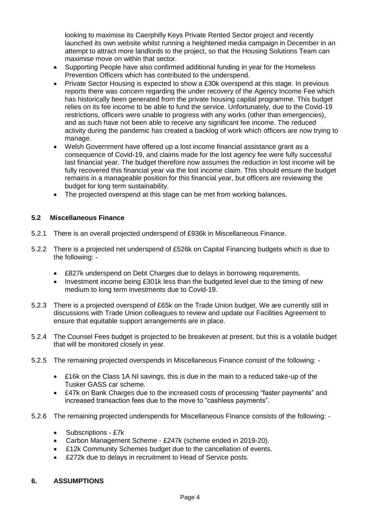looking to maximise its Caerphilly Keys Private Rented Sector project and recently launched its own website whilst running a heightened media campaign in December in an attempt to attract more landlords to the project, so that the Housing Solutions Team can maximise move on within that sector.

- Supporting People have also confirmed additional funding in year for the Homeless Prevention Officers which has contributed to the underspend.
- Private Sector Housing is expected to show a £30k overspend at this stage. In previous reports there was concern regarding the under recovery of the Agency Income Fee which has historically been generated from the private housing capital programme. This budget relies on its fee income to be able to fund the service. Unfortunately, due to the Covid-19 restrictions, officers were unable to progress with any works (other than emergencies), and as such have not been able to receive any significant fee income. The reduced activity during the pandemic has created a backlog of work which officers are now trying to manage.
- Welsh Government have offered up a lost income financial assistance grant as a consequence of Covid-19, and claims made for the lost agency fee were fully successful last financial year. The budget therefore now assumes the reduction in lost income will be fully recovered this financial year via the lost income claim. This should ensure the budget remains in a manageable position for this financial year, but officers are reviewing the budget for long term sustainability.
- The projected overspend at this stage can be met from working balances.

#### **5.2 Miscellaneous Finance**

- 5.2.1 There is an overall projected underspend of £936k in Miscellaneous Finance.
- 5.2.2 There is a projected net underspend of £526k on Capital Financing budgets which is due to the following: -
	- £827k underspend on Debt Charges due to delays in borrowing requirements.
	- Investment income being £301k less than the budgeted level due to the timing of new medium to long term investments due to Covid-19.
- 5.2.3 There is a projected overspend of £65k on the Trade Union budget. We are currently still in discussions with Trade Union colleagues to review and update our Facilities Agreement to ensure that equitable support arrangements are in place.
- 5.2.4 The Counsel Fees budget is projected to be breakeven at present, but this is a volatile budget that will be monitored closely in year.
- 5.2.5 The remaining projected overspends in Miscellaneous Finance consist of the following:
	- £16k on the Class 1A NI savings, this is due in the main to a reduced take-up of the Tusker GASS car scheme.
	- £47k on Bank Charges due to the increased costs of processing "faster payments" and increased transaction fees due to the move to "cashless payments".
- 5.2.6 The remaining projected underspends for Miscellaneous Finance consists of the following:
	- Subscriptions £7k
	- Carbon Management Scheme £247k (scheme ended in 2019-20).
	- £12k Community Schemes budget due to the cancellation of events.
	- £272k due to delays in recruitment to Head of Service posts.

#### **6. ASSUMPTIONS**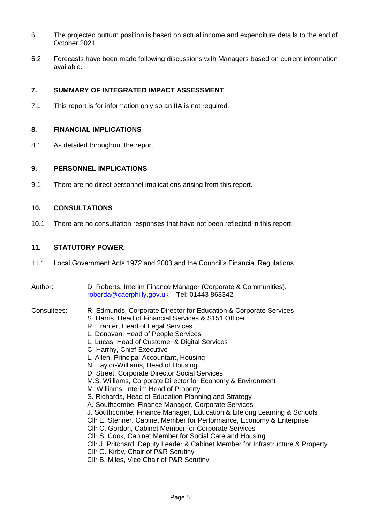- 6.1 The projected outturn position is based on actual income and expenditure details to the end of October 2021.
- 6.2 Forecasts have been made following discussions with Managers based on current information available.

#### **7. SUMMARY OF INTEGRATED IMPACT ASSESSMENT**

7.1 This report is for information only so an IIA is not required.

#### **8. FINANCIAL IMPLICATIONS**

8.1 As detailed throughout the report.

#### **9. PERSONNEL IMPLICATIONS**

9.1 There are no direct personnel implications arising from this report.

#### **10. CONSULTATIONS**

10.1 There are no consultation responses that have not been reflected in this report.

#### **11. STATUTORY POWER.**

- 11.1 Local Government Acts 1972 and 2003 and the Council's Financial Regulations.
- Author: D. Roberts, Interim Finance Manager (Corporate & Communities). [roberda@caerphilly.gov.uk](mailto:roberda@caerphilly.gov.uk) Tel: 01443 863342

- Consultees: R. Edmunds, Corporate Director for Education & Corporate Services S. Harris, Head of Financial Services & S151 Officer
	- R. Tranter, Head of Legal Services
	- L. Donovan, Head of People Services
	- L. Lucas, Head of Customer & Digital Services
	- C. Harrhy, Chief Executive
	- L. Allen, Principal Accountant, Housing
	- N. Taylor-Williams, Head of Housing
	- D. Street, Corporate Director Social Services
	- M.S. Williams, Corporate Director for Economy & Environment
	- M. Williams, Interim Head of Property
	- S. Richards, Head of Education Planning and Strategy
	- A. Southcombe, Finance Manager, Corporate Services
	- J. Southcombe, Finance Manager, Education & Lifelong Learning & Schools
	- Cllr E. Stenner, Cabinet Member for Performance, Economy & Enterprise
	- Cllr C. Gordon, Cabinet Member for Corporate Services
	- Cllr S. Cook, Cabinet Member for Social Care and Housing
	- Cllr J. Pritchard, Deputy Leader & Cabinet Member for Infrastructure & Property
	- Cllr G. Kirby, Chair of P&R Scrutiny
	- Cllr B. Miles, Vice Chair of P&R Scrutiny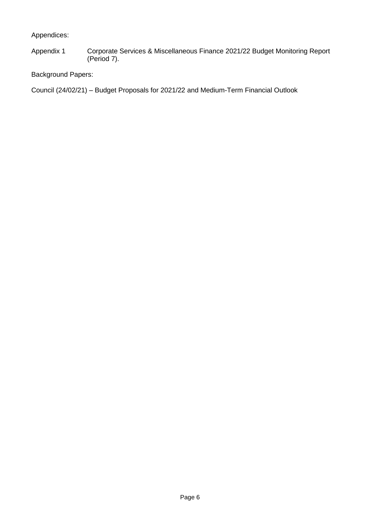Appendices:

Appendix 1 Corporate Services & Miscellaneous Finance 2021/22 Budget Monitoring Report (Period 7).

Background Papers:

Council (24/02/21) – Budget Proposals for 2021/22 and Medium-Term Financial Outlook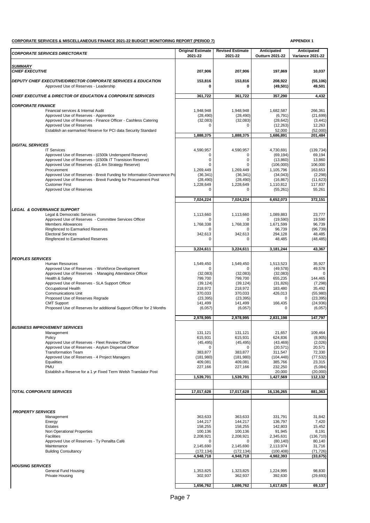#### **CORPORATE SERVICES & MISCELLANEOUS FINANCE 2021-22 BUDGET MONITORING REPORT (PERIOD 7) APPENDIX 1**

| <b>CORPORATE SERVICES DIRECTORATE</b>                                                                              | <b>Original Estimate</b><br>2021-22 | <b>Revised Estimate</b><br>2021-22 | Anticipated<br><b>Outturn 2021-22</b> | Anticipated<br><b>Variance 2021-22</b> |
|--------------------------------------------------------------------------------------------------------------------|-------------------------------------|------------------------------------|---------------------------------------|----------------------------------------|
|                                                                                                                    |                                     |                                    |                                       |                                        |
| SUMMARY<br><b>CHIEF EXECUTIVE</b>                                                                                  | 207,906                             | 207,906                            | 197,869                               | 10,037                                 |
| <b>DEPUTY CHIEF EXECUTIVE/DIRECTOR CORPORATE SERVICES &amp; EDUCATION</b><br>Approved Use of Reserves - Leadership | 153,816<br>0                        | 153,816<br>0                       | 208,922<br>(49, 501)                  | (55, 106)<br>49,501                    |
| <b>CHIEF EXECUTIVE &amp; DIRECTOR OF EDUCATION &amp; CORPORATE SERVICES</b>                                        | 361,722                             | 361,722                            | 357,290                               | 4,432                                  |
| <b>CORPORATE FINANCE</b>                                                                                           |                                     |                                    |                                       |                                        |
| Financial services & Internal Audit                                                                                | 1.948.948                           | 1,948,948                          | 1,682,587                             | 266,361                                |
| Approved Use of Reserves - Apprentice<br>Approved Use of Reserves - Finance Officer - Cashless Catering            | (28, 490)<br>(32,083)               | (28, 490)<br>(32,083)              | (6, 791)<br>(28, 642)                 | (21, 699)<br>(3, 441)                  |
| Approved Use of Reserves                                                                                           | $\Omega$                            | $\Omega$                           | (12, 263)                             | 12,263                                 |
| Establish an earmarked Reserve for PCI data Security Standard                                                      |                                     |                                    | 52,000                                | (52,000)                               |
|                                                                                                                    | 1,888,375                           | 1,888,375                          | 1,686,891                             | 201,484                                |
| <b>DIGITAL SERVICES</b>                                                                                            |                                     |                                    |                                       |                                        |
| <b>IT Services</b>                                                                                                 | 4,590,957                           | 4,590,957                          | 4,730,691                             | (139, 734)                             |
| Approved Use of Reserves - (£500k Underspend Reserve)<br>Approved Use of Reserves - (£500k IT Transision Reserve)  | 0<br>0                              | 0<br>$\mathbf 0$                   | (69, 194)<br>(13,860)                 | 69,194<br>13,860                       |
| Approved Use of Reserves - (£1.4m Strategy Reserve)                                                                | $\Omega$                            | 0                                  | (106,000)                             | 106,000                                |
| Procurement                                                                                                        | 1,269,449                           | 1,269,449                          | 1,105,796                             | 163,653                                |
| Approved Use of Reserves - Brexit Funding for Information Governance Po                                            | (36, 341)                           | (36, 341)                          | (34,043)                              | (2, 298)                               |
| Approved Use of Reserves - Brexit Funding for Procurement Post<br><b>Customer First</b>                            | (28, 490)<br>1,228,649              | (28, 490)<br>1,228,649             | (16, 867)<br>1,110,812                | (11, 623)<br>117,837                   |
| Approved Use of Reserves                                                                                           | $\Omega$                            | 0                                  | (55, 261)                             | 55,261                                 |
|                                                                                                                    |                                     |                                    |                                       |                                        |
|                                                                                                                    | 7,024,224                           | 7,024,224                          | 6,652,073                             | 372,151                                |
| <b>LEGAL &amp; GOVERNANCE SUPPORT</b>                                                                              |                                     |                                    |                                       |                                        |
| Legal & Democratic Services<br>Approved Use of Reserves - Committee Services Officer                               | 1,113,660<br>$\Omega$               | 1,113,660<br>0                     | 1,089,883<br>(19, 590)                | 23,777<br>19,590                       |
| <b>Members Allowances</b>                                                                                          | 1.768.338                           | 1,768,338                          | 1,671,599                             | 96,739                                 |
| Ringfenced to Earmarked Reserves                                                                                   | $\Omega$                            | 0                                  | 96,739                                | (96, 739)                              |
| <b>Electoral Services</b>                                                                                          | 342,613                             | 342,613                            | 294,128                               | 48,485                                 |
| Ringfenced to Earmarked Reserves                                                                                   | 0                                   | $\mathbf 0$                        | 48,485                                | (48, 485)                              |
|                                                                                                                    | 3,224,611                           | 3,224,611                          | 3,181,244                             | 43,367                                 |
| <b>PEOPLES SERVICES</b>                                                                                            |                                     |                                    |                                       |                                        |
| <b>Human Resources</b>                                                                                             | 1,549,450                           | 1,549,450                          | 1,513,523                             | 35,927                                 |
| Approved Use of Reserves - Workforce Development                                                                   | $\Omega$                            | $\Omega$                           | (49, 578)                             | 49,578                                 |
| Approved Use of Reserves - Managing Attendance Officer                                                             | (32,083)                            | (32,083)                           | (32,083)                              | $\Omega$                               |
| Health & Safety<br>Approved Use of Reserves - SLA Support Officer                                                  | 799,700<br>(39, 124)                | 799,700<br>(39, 124)               | 655,235<br>(31, 826)                  | 144,465<br>(7, 298)                    |
| Occupational Health                                                                                                | 218,972                             | 218,972                            | 183,480                               | 35,492                                 |
| <b>Communications Unit</b>                                                                                         | 370,033                             | 370.033                            | 426.013                               | (55,980)                               |
| Proposed Use of Reserves Regrade<br><b>CMT Support</b>                                                             | (23, 395)<br>141,499                | (23, 395)<br>141,499               | $\Omega$<br>166,435                   | (23, 395)<br>(24, 936)                 |
| Proposed Use of Reserves for additional Support Officer for 2 Months                                               | (6,057)                             | (6,057)                            | $\Omega$                              | (6,057)                                |
|                                                                                                                    |                                     |                                    |                                       |                                        |
|                                                                                                                    | 2,978,995                           | 2,978,995                          | 2,831,198                             | 147,797                                |
| <b>BUSINESS IMPROVEMENT SERVICES</b>                                                                               |                                     |                                    |                                       |                                        |
| Management                                                                                                         | 131,121                             | 131,121                            | 21,657                                | 109,464                                |
| Policy<br>Approved Use of Reserves - Fleet Review Officer                                                          | 615,931<br>(45, 495)                | 615,931<br>(45, 495)               | 624,836<br>(43, 469)                  | (8,905)<br>(2,026)                     |
| Approved Use of Reserves - Asylum Dispersal Officer                                                                | 0                                   | 0                                  | (20, 571)                             | 20,571                                 |
| <b>Transformation Team</b>                                                                                         | 383,877                             | 383,877                            | 311,547                               | 72,330                                 |
| Approved Use of Reserves - 4 Project Managers<br>Equalities                                                        | (181,980)<br>409,081                | (181,980)<br>409,081               | (104, 448)<br>385,766                 | (77, 532)<br>23,315                    |
| PMU                                                                                                                | 227,166                             | 227,166                            | 232,250                               | (5,084)                                |
| Establish a Reserve for a 1 yr Fixed Term Welsh Translator Post                                                    |                                     |                                    | 20,000                                | (20,000)                               |
|                                                                                                                    | 1,539,701                           | 1,539,701                          | 1,427,569                             | 112,132                                |
|                                                                                                                    |                                     |                                    |                                       |                                        |
| <b>TOTAL CORPORATE SERVICES</b>                                                                                    | 17,017,628                          | 17,017,628                         | 16,136,265                            | 881,363                                |
|                                                                                                                    |                                     |                                    |                                       |                                        |
| <b>PROPERTY SERVICES</b>                                                                                           |                                     |                                    |                                       |                                        |
| Management                                                                                                         | 363,633                             | 363,633                            | 331,791                               | 31,842                                 |
| Energy                                                                                                             | 144,217                             | 144,217                            | 136,797                               | 7,420                                  |
| Estates<br>Non Operational Properties                                                                              | 158,255<br>100,136                  | 158,255<br>100,136                 | 142,803<br>91,945                     | 15,452<br>8,191                        |
| Facilities                                                                                                         | 2,208,921                           | 2,208,921                          | 2,345,631                             | (136, 710)                             |
| Approved Use of Reserves - Ty Penallta Café                                                                        | 0                                   | 0                                  | (80, 140)                             | 80,140                                 |
| Maintenance                                                                                                        | 2,145,690                           | 2,145,690                          | 2,113,974                             | 31,716                                 |
| <b>Building Consultancy</b>                                                                                        | (172, 134)<br>4,948,718             | (172, 134)<br>4,948,718            | (100, 408)<br>4,982,393               | (71, 726)<br>(33, 675)                 |
|                                                                                                                    |                                     |                                    |                                       |                                        |
| <b>HOUSING SERVICES</b>                                                                                            |                                     |                                    |                                       |                                        |
| General Fund Housing<br>Private Housing                                                                            | 1,353,825<br>302,937                | 1,323,825<br>362,937               | 1,224,995<br>392,630                  | 98,830<br>(29, 693)                    |
|                                                                                                                    |                                     |                                    |                                       |                                        |
|                                                                                                                    | 1,656,762                           | 1,686,762                          | 1,617,625                             | 69,137                                 |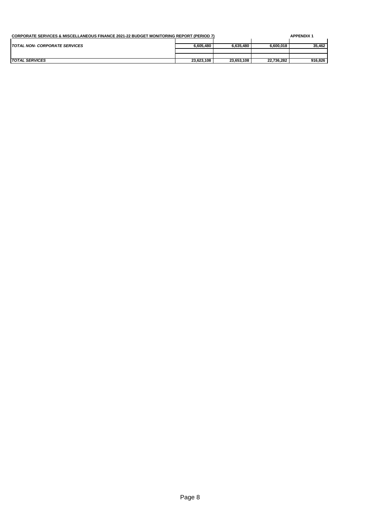| <b>CORPORATE SERVICES &amp; MISCELLANEOUS FINANCE 2021-22 BUDGET MONITORING REPORT (PERIOD 7)</b> |            |            | <b>APPENDIX 1</b> |         |
|---------------------------------------------------------------------------------------------------|------------|------------|-------------------|---------|
| <b>TOTAL NON- CORPORATE SERVICES</b>                                                              | 6.605.480  | 6.635.480  | 6.600.018         | 35,462  |
|                                                                                                   |            |            |                   |         |
|                                                                                                   |            |            |                   |         |
| <b>TOTAL SERVICES</b>                                                                             | 23,623,108 | 23,653,108 | 22,736,282        | 916,826 |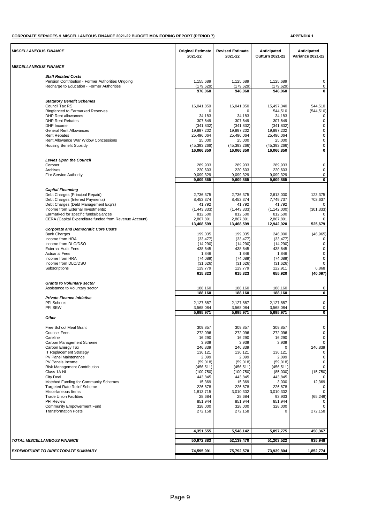#### **CORPORATE SERVICES & MISCELLANEOUS FINANCE 2021-22 BUDGET MONITORING REPORT (PERIOD 7) APPENDIX 1**

| MISCELLANEOUS FINANCE<br><b>Staff Related Costs</b><br>Pension Contribution - Former Authorities Ongoing<br>1,155,689<br>1,125,689<br>1,125,689<br>Recharge to Education - Former Authorities<br>(179, 629)<br>(179, 629)<br>(179, 629)<br>976,060<br>946,060<br>946,060<br><b>Statutory Benefit Schemes</b><br>Council Tax RS<br>544,510<br>16.041.850<br>16,041,850<br>15,497,340<br>Ringfenced to Earmarked Reserves<br>544,510<br>$\Omega$<br>$\Omega$<br><b>DHP Rent allowances</b><br>34,183<br>34,183<br>34,183<br><b>DHP Rent Rebates</b><br>307,649<br>307,649<br>$\pmb{0}$<br>307.649<br>DHP Income<br>(341, 832)<br>(341, 832)<br>(341, 832)<br><b>General Rent Allowances</b><br>19,897,202<br>19,897,202<br>19,897,202<br>$\pmb{0}$<br><b>Rent Rebates</b><br>25,496,064<br>25,496,064<br>25,496,064<br>Rent Allowance War Widow Concessions<br>25,000<br>$\pmb{0}$<br>25,000<br>25,000<br>(45, 393, 266)<br>(45, 393, 266)<br><b>Housing Benefit Subsidy</b><br>(45, 393, 266)<br>16,066,850<br>16,066,850<br>16,066,850<br><b>Levies Upon the Council</b><br>Coroner<br>289,933<br>289,933<br>289,933<br>220,603<br>220,603<br>220,603<br>$\pmb{0}$<br>Archives<br>9,099,329<br>9,099,329<br>9,099,329<br>Fire Service Authority<br>9,609,865<br>9,609,865<br>9,609,865<br><b>Capital Financing</b><br>Debt Charges (Principal Repaid)<br>2,736,375<br>2,736,375<br>2,613,000<br>Debt Charges (Interest Payments)<br>8,453,374<br>8,453,374<br>7,749,737<br>Debt Charges (Debt Management Exp's)<br>41,792<br>41,792<br>41,792<br>Income from External Investments:<br>(301, 333)<br>(1,443,333)<br>(1,443,333)<br>(1, 142, 000)<br>Earmarked for specific funds/balances<br>812,500<br>812,500<br>812,500<br>CERA (Capital Expenditure funded from Revenue Account)<br>2,867,891<br>2,867,891<br>2,867,891<br>13,468,599<br>13,468,599<br>12,942,920<br>525,679<br><b>Corporate and Democratic Core Costs</b><br><b>Bank Charges</b><br>199,035<br>199,035<br>246,000<br>Income from HRA<br>(33, 477)<br>(33, 477)<br>(33, 477)<br>(14, 290)<br>(14, 290)<br>(14, 290)<br>$\pmb{0}$<br>Income from DLO/DSO<br><b>External Audit Fees</b><br>438,645<br>438,645<br>438,645<br><b>Actuarial Fees</b><br>1,846<br>1,846<br>1,846<br>$\pmb{0}$<br>Income from HRA<br>(74, 089)<br>(74, 089)<br>(74, 089)<br>(31, 626)<br>(31, 626)<br>$\mathbf 0$<br>Income from DLO/DSO<br>(31, 626)<br>122,911<br>129,779<br>129,779<br>Subscriptions<br>615,823<br>615,823<br>655,920<br>(40, 097)<br><b>Grants to Voluntary sector</b><br>Assistance to Voluntary sector<br>188,160<br>188,160<br>188,160<br>0<br>188,160<br>188,160<br>188,160<br>0<br><b>Private Finance Initiative</b><br>$\pmb{0}$<br><b>PFI Schools</b><br>2,127,887<br>2,127,887<br>2,127,887<br>PFI SEW<br>3,568,084<br>3,568,084<br>3,568,084<br>0<br>5,695,971<br>5,695,971<br>5,695,971<br>Other<br>309,857<br>309,857<br>309,857<br>Free School Meal Grant<br>272,096<br><b>Counsel Fees</b><br>272,096<br>272,096<br>Careline<br>16,290<br>16,290<br>16,290<br>0<br>3,939<br>3,939<br>3,939<br>Carbon Management Scheme<br>0<br>Carbon Energy Tax<br>246,839<br>246,839<br>0<br>136,121<br>136,121<br>IT Replacement Strategy<br>136,121<br>2,099<br>2,099<br>2,099<br>PV Panel Maintenance<br>0<br>PV Panels Income<br>(59,018)<br>(59,018)<br>(59,018)<br>(456, 511)<br>Risk Management Contribution<br>(456, 511)<br>(456, 511)<br>(15, 750)<br>Class 1A NI<br>(100, 750)<br>(100, 750)<br>(85,000)<br>City Deal<br>443,845<br>443,845<br>443,845<br>15,369<br>15,369<br>Matched Funding for Community Schemes<br>3,000<br><b>Targeted Rate Relief Scheme</b><br>226,878<br>226,878<br>226,878<br>Miscellaneous Items<br>1,813,715<br>3,010,302<br>3,010,302<br>$\Omega$<br><b>Trade Union Facilities</b><br>28,684<br>93,933<br>(65, 249)<br>28,684<br>PFI Review<br>851,944<br>851,944<br>851,944<br>Community Empowerment Fund<br>328,000<br>328,000<br>328,000<br><b>Transformation Posts</b><br>272,158<br>272,158<br>272,158<br>$\Omega$<br>4,351,555<br>5,548,142<br>5,097,775<br>50,972,883<br>TOTAL MISCELLANEOUS FINANCE<br>52,139,470<br>51,203,522<br>1,852,774<br>74,595,991<br>75,792,578<br>73,939,804<br><b>EXPENDITURE TO DIRECTORATE SUMMARY</b> | <b>MISCELLANEOUS FINANCE</b> | <b>Original Estimate</b><br>2021-22 | <b>Revised Estimate</b><br>2021-22 | Anticipated<br>Outturn 2021-22 | Anticipated<br><b>Variance 2021-22</b> |
|---------------------------------------------------------------------------------------------------------------------------------------------------------------------------------------------------------------------------------------------------------------------------------------------------------------------------------------------------------------------------------------------------------------------------------------------------------------------------------------------------------------------------------------------------------------------------------------------------------------------------------------------------------------------------------------------------------------------------------------------------------------------------------------------------------------------------------------------------------------------------------------------------------------------------------------------------------------------------------------------------------------------------------------------------------------------------------------------------------------------------------------------------------------------------------------------------------------------------------------------------------------------------------------------------------------------------------------------------------------------------------------------------------------------------------------------------------------------------------------------------------------------------------------------------------------------------------------------------------------------------------------------------------------------------------------------------------------------------------------------------------------------------------------------------------------------------------------------------------------------------------------------------------------------------------------------------------------------------------------------------------------------------------------------------------------------------------------------------------------------------------------------------------------------------------------------------------------------------------------------------------------------------------------------------------------------------------------------------------------------------------------------------------------------------------------------------------------------------------------------------------------------------------------------------------------------------------------------------------------------------------------------------------------------------------------------------------------------------------------------------------------------------------------------------------------------------------------------------------------------------------------------------------------------------------------------------------------------------------------------------------------------------------------------------------------------------------------------------------------------------------------------------------------------------------------------------------------------------------------------------------------------------------------------------------------------------------------------------------------------------------------------------------------------------------------------------------------------------------------------------------------------------------------------------------------------------------------------------------------------------------------------------------------------------------------------------------------------------------------------------------------------------------------------------------------------------------------------------------------------------------------------------------------------------------------------------------------------------------------------------------------------------------------------------------------------------------------------------------------------------------------------------------------------------------------------------------------------------------------------------|------------------------------|-------------------------------------|------------------------------------|--------------------------------|----------------------------------------|
|                                                                                                                                                                                                                                                                                                                                                                                                                                                                                                                                                                                                                                                                                                                                                                                                                                                                                                                                                                                                                                                                                                                                                                                                                                                                                                                                                                                                                                                                                                                                                                                                                                                                                                                                                                                                                                                                                                                                                                                                                                                                                                                                                                                                                                                                                                                                                                                                                                                                                                                                                                                                                                                                                                                                                                                                                                                                                                                                                                                                                                                                                                                                                                                                                                                                                                                                                                                                                                                                                                                                                                                                                                                                                                                                                                                                                                                                                                                                                                                                                                                                                                                                                                                                                                                   |                              |                                     |                                    |                                |                                        |
|                                                                                                                                                                                                                                                                                                                                                                                                                                                                                                                                                                                                                                                                                                                                                                                                                                                                                                                                                                                                                                                                                                                                                                                                                                                                                                                                                                                                                                                                                                                                                                                                                                                                                                                                                                                                                                                                                                                                                                                                                                                                                                                                                                                                                                                                                                                                                                                                                                                                                                                                                                                                                                                                                                                                                                                                                                                                                                                                                                                                                                                                                                                                                                                                                                                                                                                                                                                                                                                                                                                                                                                                                                                                                                                                                                                                                                                                                                                                                                                                                                                                                                                                                                                                                                                   |                              |                                     |                                    |                                |                                        |
|                                                                                                                                                                                                                                                                                                                                                                                                                                                                                                                                                                                                                                                                                                                                                                                                                                                                                                                                                                                                                                                                                                                                                                                                                                                                                                                                                                                                                                                                                                                                                                                                                                                                                                                                                                                                                                                                                                                                                                                                                                                                                                                                                                                                                                                                                                                                                                                                                                                                                                                                                                                                                                                                                                                                                                                                                                                                                                                                                                                                                                                                                                                                                                                                                                                                                                                                                                                                                                                                                                                                                                                                                                                                                                                                                                                                                                                                                                                                                                                                                                                                                                                                                                                                                                                   |                              |                                     |                                    |                                | 0                                      |
|                                                                                                                                                                                                                                                                                                                                                                                                                                                                                                                                                                                                                                                                                                                                                                                                                                                                                                                                                                                                                                                                                                                                                                                                                                                                                                                                                                                                                                                                                                                                                                                                                                                                                                                                                                                                                                                                                                                                                                                                                                                                                                                                                                                                                                                                                                                                                                                                                                                                                                                                                                                                                                                                                                                                                                                                                                                                                                                                                                                                                                                                                                                                                                                                                                                                                                                                                                                                                                                                                                                                                                                                                                                                                                                                                                                                                                                                                                                                                                                                                                                                                                                                                                                                                                                   |                              |                                     |                                    |                                | 0<br>0                                 |
|                                                                                                                                                                                                                                                                                                                                                                                                                                                                                                                                                                                                                                                                                                                                                                                                                                                                                                                                                                                                                                                                                                                                                                                                                                                                                                                                                                                                                                                                                                                                                                                                                                                                                                                                                                                                                                                                                                                                                                                                                                                                                                                                                                                                                                                                                                                                                                                                                                                                                                                                                                                                                                                                                                                                                                                                                                                                                                                                                                                                                                                                                                                                                                                                                                                                                                                                                                                                                                                                                                                                                                                                                                                                                                                                                                                                                                                                                                                                                                                                                                                                                                                                                                                                                                                   |                              |                                     |                                    |                                |                                        |
|                                                                                                                                                                                                                                                                                                                                                                                                                                                                                                                                                                                                                                                                                                                                                                                                                                                                                                                                                                                                                                                                                                                                                                                                                                                                                                                                                                                                                                                                                                                                                                                                                                                                                                                                                                                                                                                                                                                                                                                                                                                                                                                                                                                                                                                                                                                                                                                                                                                                                                                                                                                                                                                                                                                                                                                                                                                                                                                                                                                                                                                                                                                                                                                                                                                                                                                                                                                                                                                                                                                                                                                                                                                                                                                                                                                                                                                                                                                                                                                                                                                                                                                                                                                                                                                   |                              |                                     |                                    |                                |                                        |
|                                                                                                                                                                                                                                                                                                                                                                                                                                                                                                                                                                                                                                                                                                                                                                                                                                                                                                                                                                                                                                                                                                                                                                                                                                                                                                                                                                                                                                                                                                                                                                                                                                                                                                                                                                                                                                                                                                                                                                                                                                                                                                                                                                                                                                                                                                                                                                                                                                                                                                                                                                                                                                                                                                                                                                                                                                                                                                                                                                                                                                                                                                                                                                                                                                                                                                                                                                                                                                                                                                                                                                                                                                                                                                                                                                                                                                                                                                                                                                                                                                                                                                                                                                                                                                                   |                              |                                     |                                    |                                | (544, 510)                             |
|                                                                                                                                                                                                                                                                                                                                                                                                                                                                                                                                                                                                                                                                                                                                                                                                                                                                                                                                                                                                                                                                                                                                                                                                                                                                                                                                                                                                                                                                                                                                                                                                                                                                                                                                                                                                                                                                                                                                                                                                                                                                                                                                                                                                                                                                                                                                                                                                                                                                                                                                                                                                                                                                                                                                                                                                                                                                                                                                                                                                                                                                                                                                                                                                                                                                                                                                                                                                                                                                                                                                                                                                                                                                                                                                                                                                                                                                                                                                                                                                                                                                                                                                                                                                                                                   |                              |                                     |                                    |                                | 0                                      |
|                                                                                                                                                                                                                                                                                                                                                                                                                                                                                                                                                                                                                                                                                                                                                                                                                                                                                                                                                                                                                                                                                                                                                                                                                                                                                                                                                                                                                                                                                                                                                                                                                                                                                                                                                                                                                                                                                                                                                                                                                                                                                                                                                                                                                                                                                                                                                                                                                                                                                                                                                                                                                                                                                                                                                                                                                                                                                                                                                                                                                                                                                                                                                                                                                                                                                                                                                                                                                                                                                                                                                                                                                                                                                                                                                                                                                                                                                                                                                                                                                                                                                                                                                                                                                                                   |                              |                                     |                                    |                                | $\mathbf 0$                            |
|                                                                                                                                                                                                                                                                                                                                                                                                                                                                                                                                                                                                                                                                                                                                                                                                                                                                                                                                                                                                                                                                                                                                                                                                                                                                                                                                                                                                                                                                                                                                                                                                                                                                                                                                                                                                                                                                                                                                                                                                                                                                                                                                                                                                                                                                                                                                                                                                                                                                                                                                                                                                                                                                                                                                                                                                                                                                                                                                                                                                                                                                                                                                                                                                                                                                                                                                                                                                                                                                                                                                                                                                                                                                                                                                                                                                                                                                                                                                                                                                                                                                                                                                                                                                                                                   |                              |                                     |                                    |                                | $\pmb{0}$                              |
|                                                                                                                                                                                                                                                                                                                                                                                                                                                                                                                                                                                                                                                                                                                                                                                                                                                                                                                                                                                                                                                                                                                                                                                                                                                                                                                                                                                                                                                                                                                                                                                                                                                                                                                                                                                                                                                                                                                                                                                                                                                                                                                                                                                                                                                                                                                                                                                                                                                                                                                                                                                                                                                                                                                                                                                                                                                                                                                                                                                                                                                                                                                                                                                                                                                                                                                                                                                                                                                                                                                                                                                                                                                                                                                                                                                                                                                                                                                                                                                                                                                                                                                                                                                                                                                   |                              |                                     |                                    |                                |                                        |
|                                                                                                                                                                                                                                                                                                                                                                                                                                                                                                                                                                                                                                                                                                                                                                                                                                                                                                                                                                                                                                                                                                                                                                                                                                                                                                                                                                                                                                                                                                                                                                                                                                                                                                                                                                                                                                                                                                                                                                                                                                                                                                                                                                                                                                                                                                                                                                                                                                                                                                                                                                                                                                                                                                                                                                                                                                                                                                                                                                                                                                                                                                                                                                                                                                                                                                                                                                                                                                                                                                                                                                                                                                                                                                                                                                                                                                                                                                                                                                                                                                                                                                                                                                                                                                                   |                              |                                     |                                    |                                | 0                                      |
|                                                                                                                                                                                                                                                                                                                                                                                                                                                                                                                                                                                                                                                                                                                                                                                                                                                                                                                                                                                                                                                                                                                                                                                                                                                                                                                                                                                                                                                                                                                                                                                                                                                                                                                                                                                                                                                                                                                                                                                                                                                                                                                                                                                                                                                                                                                                                                                                                                                                                                                                                                                                                                                                                                                                                                                                                                                                                                                                                                                                                                                                                                                                                                                                                                                                                                                                                                                                                                                                                                                                                                                                                                                                                                                                                                                                                                                                                                                                                                                                                                                                                                                                                                                                                                                   |                              |                                     |                                    |                                | $\overline{\mathbf{0}}$                |
|                                                                                                                                                                                                                                                                                                                                                                                                                                                                                                                                                                                                                                                                                                                                                                                                                                                                                                                                                                                                                                                                                                                                                                                                                                                                                                                                                                                                                                                                                                                                                                                                                                                                                                                                                                                                                                                                                                                                                                                                                                                                                                                                                                                                                                                                                                                                                                                                                                                                                                                                                                                                                                                                                                                                                                                                                                                                                                                                                                                                                                                                                                                                                                                                                                                                                                                                                                                                                                                                                                                                                                                                                                                                                                                                                                                                                                                                                                                                                                                                                                                                                                                                                                                                                                                   |                              |                                     |                                    |                                |                                        |
|                                                                                                                                                                                                                                                                                                                                                                                                                                                                                                                                                                                                                                                                                                                                                                                                                                                                                                                                                                                                                                                                                                                                                                                                                                                                                                                                                                                                                                                                                                                                                                                                                                                                                                                                                                                                                                                                                                                                                                                                                                                                                                                                                                                                                                                                                                                                                                                                                                                                                                                                                                                                                                                                                                                                                                                                                                                                                                                                                                                                                                                                                                                                                                                                                                                                                                                                                                                                                                                                                                                                                                                                                                                                                                                                                                                                                                                                                                                                                                                                                                                                                                                                                                                                                                                   |                              |                                     |                                    |                                | 0                                      |
|                                                                                                                                                                                                                                                                                                                                                                                                                                                                                                                                                                                                                                                                                                                                                                                                                                                                                                                                                                                                                                                                                                                                                                                                                                                                                                                                                                                                                                                                                                                                                                                                                                                                                                                                                                                                                                                                                                                                                                                                                                                                                                                                                                                                                                                                                                                                                                                                                                                                                                                                                                                                                                                                                                                                                                                                                                                                                                                                                                                                                                                                                                                                                                                                                                                                                                                                                                                                                                                                                                                                                                                                                                                                                                                                                                                                                                                                                                                                                                                                                                                                                                                                                                                                                                                   |                              |                                     |                                    |                                | 0                                      |
|                                                                                                                                                                                                                                                                                                                                                                                                                                                                                                                                                                                                                                                                                                                                                                                                                                                                                                                                                                                                                                                                                                                                                                                                                                                                                                                                                                                                                                                                                                                                                                                                                                                                                                                                                                                                                                                                                                                                                                                                                                                                                                                                                                                                                                                                                                                                                                                                                                                                                                                                                                                                                                                                                                                                                                                                                                                                                                                                                                                                                                                                                                                                                                                                                                                                                                                                                                                                                                                                                                                                                                                                                                                                                                                                                                                                                                                                                                                                                                                                                                                                                                                                                                                                                                                   |                              |                                     |                                    |                                | 0                                      |
|                                                                                                                                                                                                                                                                                                                                                                                                                                                                                                                                                                                                                                                                                                                                                                                                                                                                                                                                                                                                                                                                                                                                                                                                                                                                                                                                                                                                                                                                                                                                                                                                                                                                                                                                                                                                                                                                                                                                                                                                                                                                                                                                                                                                                                                                                                                                                                                                                                                                                                                                                                                                                                                                                                                                                                                                                                                                                                                                                                                                                                                                                                                                                                                                                                                                                                                                                                                                                                                                                                                                                                                                                                                                                                                                                                                                                                                                                                                                                                                                                                                                                                                                                                                                                                                   |                              |                                     |                                    |                                |                                        |
|                                                                                                                                                                                                                                                                                                                                                                                                                                                                                                                                                                                                                                                                                                                                                                                                                                                                                                                                                                                                                                                                                                                                                                                                                                                                                                                                                                                                                                                                                                                                                                                                                                                                                                                                                                                                                                                                                                                                                                                                                                                                                                                                                                                                                                                                                                                                                                                                                                                                                                                                                                                                                                                                                                                                                                                                                                                                                                                                                                                                                                                                                                                                                                                                                                                                                                                                                                                                                                                                                                                                                                                                                                                                                                                                                                                                                                                                                                                                                                                                                                                                                                                                                                                                                                                   |                              |                                     |                                    |                                | 123,375                                |
|                                                                                                                                                                                                                                                                                                                                                                                                                                                                                                                                                                                                                                                                                                                                                                                                                                                                                                                                                                                                                                                                                                                                                                                                                                                                                                                                                                                                                                                                                                                                                                                                                                                                                                                                                                                                                                                                                                                                                                                                                                                                                                                                                                                                                                                                                                                                                                                                                                                                                                                                                                                                                                                                                                                                                                                                                                                                                                                                                                                                                                                                                                                                                                                                                                                                                                                                                                                                                                                                                                                                                                                                                                                                                                                                                                                                                                                                                                                                                                                                                                                                                                                                                                                                                                                   |                              |                                     |                                    |                                | 703,637                                |
|                                                                                                                                                                                                                                                                                                                                                                                                                                                                                                                                                                                                                                                                                                                                                                                                                                                                                                                                                                                                                                                                                                                                                                                                                                                                                                                                                                                                                                                                                                                                                                                                                                                                                                                                                                                                                                                                                                                                                                                                                                                                                                                                                                                                                                                                                                                                                                                                                                                                                                                                                                                                                                                                                                                                                                                                                                                                                                                                                                                                                                                                                                                                                                                                                                                                                                                                                                                                                                                                                                                                                                                                                                                                                                                                                                                                                                                                                                                                                                                                                                                                                                                                                                                                                                                   |                              |                                     |                                    |                                | 0                                      |
|                                                                                                                                                                                                                                                                                                                                                                                                                                                                                                                                                                                                                                                                                                                                                                                                                                                                                                                                                                                                                                                                                                                                                                                                                                                                                                                                                                                                                                                                                                                                                                                                                                                                                                                                                                                                                                                                                                                                                                                                                                                                                                                                                                                                                                                                                                                                                                                                                                                                                                                                                                                                                                                                                                                                                                                                                                                                                                                                                                                                                                                                                                                                                                                                                                                                                                                                                                                                                                                                                                                                                                                                                                                                                                                                                                                                                                                                                                                                                                                                                                                                                                                                                                                                                                                   |                              |                                     |                                    |                                | $\Omega$                               |
|                                                                                                                                                                                                                                                                                                                                                                                                                                                                                                                                                                                                                                                                                                                                                                                                                                                                                                                                                                                                                                                                                                                                                                                                                                                                                                                                                                                                                                                                                                                                                                                                                                                                                                                                                                                                                                                                                                                                                                                                                                                                                                                                                                                                                                                                                                                                                                                                                                                                                                                                                                                                                                                                                                                                                                                                                                                                                                                                                                                                                                                                                                                                                                                                                                                                                                                                                                                                                                                                                                                                                                                                                                                                                                                                                                                                                                                                                                                                                                                                                                                                                                                                                                                                                                                   |                              |                                     |                                    |                                | 0                                      |
|                                                                                                                                                                                                                                                                                                                                                                                                                                                                                                                                                                                                                                                                                                                                                                                                                                                                                                                                                                                                                                                                                                                                                                                                                                                                                                                                                                                                                                                                                                                                                                                                                                                                                                                                                                                                                                                                                                                                                                                                                                                                                                                                                                                                                                                                                                                                                                                                                                                                                                                                                                                                                                                                                                                                                                                                                                                                                                                                                                                                                                                                                                                                                                                                                                                                                                                                                                                                                                                                                                                                                                                                                                                                                                                                                                                                                                                                                                                                                                                                                                                                                                                                                                                                                                                   |                              |                                     |                                    |                                |                                        |
|                                                                                                                                                                                                                                                                                                                                                                                                                                                                                                                                                                                                                                                                                                                                                                                                                                                                                                                                                                                                                                                                                                                                                                                                                                                                                                                                                                                                                                                                                                                                                                                                                                                                                                                                                                                                                                                                                                                                                                                                                                                                                                                                                                                                                                                                                                                                                                                                                                                                                                                                                                                                                                                                                                                                                                                                                                                                                                                                                                                                                                                                                                                                                                                                                                                                                                                                                                                                                                                                                                                                                                                                                                                                                                                                                                                                                                                                                                                                                                                                                                                                                                                                                                                                                                                   |                              |                                     |                                    |                                | (46, 965)                              |
|                                                                                                                                                                                                                                                                                                                                                                                                                                                                                                                                                                                                                                                                                                                                                                                                                                                                                                                                                                                                                                                                                                                                                                                                                                                                                                                                                                                                                                                                                                                                                                                                                                                                                                                                                                                                                                                                                                                                                                                                                                                                                                                                                                                                                                                                                                                                                                                                                                                                                                                                                                                                                                                                                                                                                                                                                                                                                                                                                                                                                                                                                                                                                                                                                                                                                                                                                                                                                                                                                                                                                                                                                                                                                                                                                                                                                                                                                                                                                                                                                                                                                                                                                                                                                                                   |                              |                                     |                                    |                                | 0                                      |
|                                                                                                                                                                                                                                                                                                                                                                                                                                                                                                                                                                                                                                                                                                                                                                                                                                                                                                                                                                                                                                                                                                                                                                                                                                                                                                                                                                                                                                                                                                                                                                                                                                                                                                                                                                                                                                                                                                                                                                                                                                                                                                                                                                                                                                                                                                                                                                                                                                                                                                                                                                                                                                                                                                                                                                                                                                                                                                                                                                                                                                                                                                                                                                                                                                                                                                                                                                                                                                                                                                                                                                                                                                                                                                                                                                                                                                                                                                                                                                                                                                                                                                                                                                                                                                                   |                              |                                     |                                    |                                | $\mathbf 0$                            |
|                                                                                                                                                                                                                                                                                                                                                                                                                                                                                                                                                                                                                                                                                                                                                                                                                                                                                                                                                                                                                                                                                                                                                                                                                                                                                                                                                                                                                                                                                                                                                                                                                                                                                                                                                                                                                                                                                                                                                                                                                                                                                                                                                                                                                                                                                                                                                                                                                                                                                                                                                                                                                                                                                                                                                                                                                                                                                                                                                                                                                                                                                                                                                                                                                                                                                                                                                                                                                                                                                                                                                                                                                                                                                                                                                                                                                                                                                                                                                                                                                                                                                                                                                                                                                                                   |                              |                                     |                                    |                                | $\pmb{0}$                              |
|                                                                                                                                                                                                                                                                                                                                                                                                                                                                                                                                                                                                                                                                                                                                                                                                                                                                                                                                                                                                                                                                                                                                                                                                                                                                                                                                                                                                                                                                                                                                                                                                                                                                                                                                                                                                                                                                                                                                                                                                                                                                                                                                                                                                                                                                                                                                                                                                                                                                                                                                                                                                                                                                                                                                                                                                                                                                                                                                                                                                                                                                                                                                                                                                                                                                                                                                                                                                                                                                                                                                                                                                                                                                                                                                                                                                                                                                                                                                                                                                                                                                                                                                                                                                                                                   |                              |                                     |                                    |                                |                                        |
|                                                                                                                                                                                                                                                                                                                                                                                                                                                                                                                                                                                                                                                                                                                                                                                                                                                                                                                                                                                                                                                                                                                                                                                                                                                                                                                                                                                                                                                                                                                                                                                                                                                                                                                                                                                                                                                                                                                                                                                                                                                                                                                                                                                                                                                                                                                                                                                                                                                                                                                                                                                                                                                                                                                                                                                                                                                                                                                                                                                                                                                                                                                                                                                                                                                                                                                                                                                                                                                                                                                                                                                                                                                                                                                                                                                                                                                                                                                                                                                                                                                                                                                                                                                                                                                   |                              |                                     |                                    |                                | 6,868                                  |
|                                                                                                                                                                                                                                                                                                                                                                                                                                                                                                                                                                                                                                                                                                                                                                                                                                                                                                                                                                                                                                                                                                                                                                                                                                                                                                                                                                                                                                                                                                                                                                                                                                                                                                                                                                                                                                                                                                                                                                                                                                                                                                                                                                                                                                                                                                                                                                                                                                                                                                                                                                                                                                                                                                                                                                                                                                                                                                                                                                                                                                                                                                                                                                                                                                                                                                                                                                                                                                                                                                                                                                                                                                                                                                                                                                                                                                                                                                                                                                                                                                                                                                                                                                                                                                                   |                              |                                     |                                    |                                |                                        |
|                                                                                                                                                                                                                                                                                                                                                                                                                                                                                                                                                                                                                                                                                                                                                                                                                                                                                                                                                                                                                                                                                                                                                                                                                                                                                                                                                                                                                                                                                                                                                                                                                                                                                                                                                                                                                                                                                                                                                                                                                                                                                                                                                                                                                                                                                                                                                                                                                                                                                                                                                                                                                                                                                                                                                                                                                                                                                                                                                                                                                                                                                                                                                                                                                                                                                                                                                                                                                                                                                                                                                                                                                                                                                                                                                                                                                                                                                                                                                                                                                                                                                                                                                                                                                                                   |                              |                                     |                                    |                                |                                        |
|                                                                                                                                                                                                                                                                                                                                                                                                                                                                                                                                                                                                                                                                                                                                                                                                                                                                                                                                                                                                                                                                                                                                                                                                                                                                                                                                                                                                                                                                                                                                                                                                                                                                                                                                                                                                                                                                                                                                                                                                                                                                                                                                                                                                                                                                                                                                                                                                                                                                                                                                                                                                                                                                                                                                                                                                                                                                                                                                                                                                                                                                                                                                                                                                                                                                                                                                                                                                                                                                                                                                                                                                                                                                                                                                                                                                                                                                                                                                                                                                                                                                                                                                                                                                                                                   |                              |                                     |                                    |                                |                                        |
|                                                                                                                                                                                                                                                                                                                                                                                                                                                                                                                                                                                                                                                                                                                                                                                                                                                                                                                                                                                                                                                                                                                                                                                                                                                                                                                                                                                                                                                                                                                                                                                                                                                                                                                                                                                                                                                                                                                                                                                                                                                                                                                                                                                                                                                                                                                                                                                                                                                                                                                                                                                                                                                                                                                                                                                                                                                                                                                                                                                                                                                                                                                                                                                                                                                                                                                                                                                                                                                                                                                                                                                                                                                                                                                                                                                                                                                                                                                                                                                                                                                                                                                                                                                                                                                   |                              |                                     |                                    |                                |                                        |
|                                                                                                                                                                                                                                                                                                                                                                                                                                                                                                                                                                                                                                                                                                                                                                                                                                                                                                                                                                                                                                                                                                                                                                                                                                                                                                                                                                                                                                                                                                                                                                                                                                                                                                                                                                                                                                                                                                                                                                                                                                                                                                                                                                                                                                                                                                                                                                                                                                                                                                                                                                                                                                                                                                                                                                                                                                                                                                                                                                                                                                                                                                                                                                                                                                                                                                                                                                                                                                                                                                                                                                                                                                                                                                                                                                                                                                                                                                                                                                                                                                                                                                                                                                                                                                                   |                              |                                     |                                    |                                |                                        |
|                                                                                                                                                                                                                                                                                                                                                                                                                                                                                                                                                                                                                                                                                                                                                                                                                                                                                                                                                                                                                                                                                                                                                                                                                                                                                                                                                                                                                                                                                                                                                                                                                                                                                                                                                                                                                                                                                                                                                                                                                                                                                                                                                                                                                                                                                                                                                                                                                                                                                                                                                                                                                                                                                                                                                                                                                                                                                                                                                                                                                                                                                                                                                                                                                                                                                                                                                                                                                                                                                                                                                                                                                                                                                                                                                                                                                                                                                                                                                                                                                                                                                                                                                                                                                                                   |                              |                                     |                                    |                                | 0                                      |
|                                                                                                                                                                                                                                                                                                                                                                                                                                                                                                                                                                                                                                                                                                                                                                                                                                                                                                                                                                                                                                                                                                                                                                                                                                                                                                                                                                                                                                                                                                                                                                                                                                                                                                                                                                                                                                                                                                                                                                                                                                                                                                                                                                                                                                                                                                                                                                                                                                                                                                                                                                                                                                                                                                                                                                                                                                                                                                                                                                                                                                                                                                                                                                                                                                                                                                                                                                                                                                                                                                                                                                                                                                                                                                                                                                                                                                                                                                                                                                                                                                                                                                                                                                                                                                                   |                              |                                     |                                    |                                |                                        |
|                                                                                                                                                                                                                                                                                                                                                                                                                                                                                                                                                                                                                                                                                                                                                                                                                                                                                                                                                                                                                                                                                                                                                                                                                                                                                                                                                                                                                                                                                                                                                                                                                                                                                                                                                                                                                                                                                                                                                                                                                                                                                                                                                                                                                                                                                                                                                                                                                                                                                                                                                                                                                                                                                                                                                                                                                                                                                                                                                                                                                                                                                                                                                                                                                                                                                                                                                                                                                                                                                                                                                                                                                                                                                                                                                                                                                                                                                                                                                                                                                                                                                                                                                                                                                                                   |                              |                                     |                                    |                                | 0                                      |
|                                                                                                                                                                                                                                                                                                                                                                                                                                                                                                                                                                                                                                                                                                                                                                                                                                                                                                                                                                                                                                                                                                                                                                                                                                                                                                                                                                                                                                                                                                                                                                                                                                                                                                                                                                                                                                                                                                                                                                                                                                                                                                                                                                                                                                                                                                                                                                                                                                                                                                                                                                                                                                                                                                                                                                                                                                                                                                                                                                                                                                                                                                                                                                                                                                                                                                                                                                                                                                                                                                                                                                                                                                                                                                                                                                                                                                                                                                                                                                                                                                                                                                                                                                                                                                                   |                              |                                     |                                    |                                | $\mathbf 0$                            |
|                                                                                                                                                                                                                                                                                                                                                                                                                                                                                                                                                                                                                                                                                                                                                                                                                                                                                                                                                                                                                                                                                                                                                                                                                                                                                                                                                                                                                                                                                                                                                                                                                                                                                                                                                                                                                                                                                                                                                                                                                                                                                                                                                                                                                                                                                                                                                                                                                                                                                                                                                                                                                                                                                                                                                                                                                                                                                                                                                                                                                                                                                                                                                                                                                                                                                                                                                                                                                                                                                                                                                                                                                                                                                                                                                                                                                                                                                                                                                                                                                                                                                                                                                                                                                                                   |                              |                                     |                                    |                                |                                        |
|                                                                                                                                                                                                                                                                                                                                                                                                                                                                                                                                                                                                                                                                                                                                                                                                                                                                                                                                                                                                                                                                                                                                                                                                                                                                                                                                                                                                                                                                                                                                                                                                                                                                                                                                                                                                                                                                                                                                                                                                                                                                                                                                                                                                                                                                                                                                                                                                                                                                                                                                                                                                                                                                                                                                                                                                                                                                                                                                                                                                                                                                                                                                                                                                                                                                                                                                                                                                                                                                                                                                                                                                                                                                                                                                                                                                                                                                                                                                                                                                                                                                                                                                                                                                                                                   |                              |                                     |                                    |                                | 246,839                                |
|                                                                                                                                                                                                                                                                                                                                                                                                                                                                                                                                                                                                                                                                                                                                                                                                                                                                                                                                                                                                                                                                                                                                                                                                                                                                                                                                                                                                                                                                                                                                                                                                                                                                                                                                                                                                                                                                                                                                                                                                                                                                                                                                                                                                                                                                                                                                                                                                                                                                                                                                                                                                                                                                                                                                                                                                                                                                                                                                                                                                                                                                                                                                                                                                                                                                                                                                                                                                                                                                                                                                                                                                                                                                                                                                                                                                                                                                                                                                                                                                                                                                                                                                                                                                                                                   |                              |                                     |                                    |                                | $\Omega$                               |
|                                                                                                                                                                                                                                                                                                                                                                                                                                                                                                                                                                                                                                                                                                                                                                                                                                                                                                                                                                                                                                                                                                                                                                                                                                                                                                                                                                                                                                                                                                                                                                                                                                                                                                                                                                                                                                                                                                                                                                                                                                                                                                                                                                                                                                                                                                                                                                                                                                                                                                                                                                                                                                                                                                                                                                                                                                                                                                                                                                                                                                                                                                                                                                                                                                                                                                                                                                                                                                                                                                                                                                                                                                                                                                                                                                                                                                                                                                                                                                                                                                                                                                                                                                                                                                                   |                              |                                     |                                    |                                | $\mathbf 0$                            |
|                                                                                                                                                                                                                                                                                                                                                                                                                                                                                                                                                                                                                                                                                                                                                                                                                                                                                                                                                                                                                                                                                                                                                                                                                                                                                                                                                                                                                                                                                                                                                                                                                                                                                                                                                                                                                                                                                                                                                                                                                                                                                                                                                                                                                                                                                                                                                                                                                                                                                                                                                                                                                                                                                                                                                                                                                                                                                                                                                                                                                                                                                                                                                                                                                                                                                                                                                                                                                                                                                                                                                                                                                                                                                                                                                                                                                                                                                                                                                                                                                                                                                                                                                                                                                                                   |                              |                                     |                                    |                                |                                        |
|                                                                                                                                                                                                                                                                                                                                                                                                                                                                                                                                                                                                                                                                                                                                                                                                                                                                                                                                                                                                                                                                                                                                                                                                                                                                                                                                                                                                                                                                                                                                                                                                                                                                                                                                                                                                                                                                                                                                                                                                                                                                                                                                                                                                                                                                                                                                                                                                                                                                                                                                                                                                                                                                                                                                                                                                                                                                                                                                                                                                                                                                                                                                                                                                                                                                                                                                                                                                                                                                                                                                                                                                                                                                                                                                                                                                                                                                                                                                                                                                                                                                                                                                                                                                                                                   |                              |                                     |                                    |                                |                                        |
|                                                                                                                                                                                                                                                                                                                                                                                                                                                                                                                                                                                                                                                                                                                                                                                                                                                                                                                                                                                                                                                                                                                                                                                                                                                                                                                                                                                                                                                                                                                                                                                                                                                                                                                                                                                                                                                                                                                                                                                                                                                                                                                                                                                                                                                                                                                                                                                                                                                                                                                                                                                                                                                                                                                                                                                                                                                                                                                                                                                                                                                                                                                                                                                                                                                                                                                                                                                                                                                                                                                                                                                                                                                                                                                                                                                                                                                                                                                                                                                                                                                                                                                                                                                                                                                   |                              |                                     |                                    |                                | 12,369                                 |
|                                                                                                                                                                                                                                                                                                                                                                                                                                                                                                                                                                                                                                                                                                                                                                                                                                                                                                                                                                                                                                                                                                                                                                                                                                                                                                                                                                                                                                                                                                                                                                                                                                                                                                                                                                                                                                                                                                                                                                                                                                                                                                                                                                                                                                                                                                                                                                                                                                                                                                                                                                                                                                                                                                                                                                                                                                                                                                                                                                                                                                                                                                                                                                                                                                                                                                                                                                                                                                                                                                                                                                                                                                                                                                                                                                                                                                                                                                                                                                                                                                                                                                                                                                                                                                                   |                              |                                     |                                    |                                | $\Omega$                               |
|                                                                                                                                                                                                                                                                                                                                                                                                                                                                                                                                                                                                                                                                                                                                                                                                                                                                                                                                                                                                                                                                                                                                                                                                                                                                                                                                                                                                                                                                                                                                                                                                                                                                                                                                                                                                                                                                                                                                                                                                                                                                                                                                                                                                                                                                                                                                                                                                                                                                                                                                                                                                                                                                                                                                                                                                                                                                                                                                                                                                                                                                                                                                                                                                                                                                                                                                                                                                                                                                                                                                                                                                                                                                                                                                                                                                                                                                                                                                                                                                                                                                                                                                                                                                                                                   |                              |                                     |                                    |                                |                                        |
|                                                                                                                                                                                                                                                                                                                                                                                                                                                                                                                                                                                                                                                                                                                                                                                                                                                                                                                                                                                                                                                                                                                                                                                                                                                                                                                                                                                                                                                                                                                                                                                                                                                                                                                                                                                                                                                                                                                                                                                                                                                                                                                                                                                                                                                                                                                                                                                                                                                                                                                                                                                                                                                                                                                                                                                                                                                                                                                                                                                                                                                                                                                                                                                                                                                                                                                                                                                                                                                                                                                                                                                                                                                                                                                                                                                                                                                                                                                                                                                                                                                                                                                                                                                                                                                   |                              |                                     |                                    |                                |                                        |
|                                                                                                                                                                                                                                                                                                                                                                                                                                                                                                                                                                                                                                                                                                                                                                                                                                                                                                                                                                                                                                                                                                                                                                                                                                                                                                                                                                                                                                                                                                                                                                                                                                                                                                                                                                                                                                                                                                                                                                                                                                                                                                                                                                                                                                                                                                                                                                                                                                                                                                                                                                                                                                                                                                                                                                                                                                                                                                                                                                                                                                                                                                                                                                                                                                                                                                                                                                                                                                                                                                                                                                                                                                                                                                                                                                                                                                                                                                                                                                                                                                                                                                                                                                                                                                                   |                              |                                     |                                    |                                | 0                                      |
|                                                                                                                                                                                                                                                                                                                                                                                                                                                                                                                                                                                                                                                                                                                                                                                                                                                                                                                                                                                                                                                                                                                                                                                                                                                                                                                                                                                                                                                                                                                                                                                                                                                                                                                                                                                                                                                                                                                                                                                                                                                                                                                                                                                                                                                                                                                                                                                                                                                                                                                                                                                                                                                                                                                                                                                                                                                                                                                                                                                                                                                                                                                                                                                                                                                                                                                                                                                                                                                                                                                                                                                                                                                                                                                                                                                                                                                                                                                                                                                                                                                                                                                                                                                                                                                   |                              |                                     |                                    |                                |                                        |
|                                                                                                                                                                                                                                                                                                                                                                                                                                                                                                                                                                                                                                                                                                                                                                                                                                                                                                                                                                                                                                                                                                                                                                                                                                                                                                                                                                                                                                                                                                                                                                                                                                                                                                                                                                                                                                                                                                                                                                                                                                                                                                                                                                                                                                                                                                                                                                                                                                                                                                                                                                                                                                                                                                                                                                                                                                                                                                                                                                                                                                                                                                                                                                                                                                                                                                                                                                                                                                                                                                                                                                                                                                                                                                                                                                                                                                                                                                                                                                                                                                                                                                                                                                                                                                                   |                              |                                     |                                    |                                |                                        |
|                                                                                                                                                                                                                                                                                                                                                                                                                                                                                                                                                                                                                                                                                                                                                                                                                                                                                                                                                                                                                                                                                                                                                                                                                                                                                                                                                                                                                                                                                                                                                                                                                                                                                                                                                                                                                                                                                                                                                                                                                                                                                                                                                                                                                                                                                                                                                                                                                                                                                                                                                                                                                                                                                                                                                                                                                                                                                                                                                                                                                                                                                                                                                                                                                                                                                                                                                                                                                                                                                                                                                                                                                                                                                                                                                                                                                                                                                                                                                                                                                                                                                                                                                                                                                                                   |                              |                                     |                                    |                                | 450,367                                |
|                                                                                                                                                                                                                                                                                                                                                                                                                                                                                                                                                                                                                                                                                                                                                                                                                                                                                                                                                                                                                                                                                                                                                                                                                                                                                                                                                                                                                                                                                                                                                                                                                                                                                                                                                                                                                                                                                                                                                                                                                                                                                                                                                                                                                                                                                                                                                                                                                                                                                                                                                                                                                                                                                                                                                                                                                                                                                                                                                                                                                                                                                                                                                                                                                                                                                                                                                                                                                                                                                                                                                                                                                                                                                                                                                                                                                                                                                                                                                                                                                                                                                                                                                                                                                                                   |                              |                                     |                                    |                                | 935,948                                |
|                                                                                                                                                                                                                                                                                                                                                                                                                                                                                                                                                                                                                                                                                                                                                                                                                                                                                                                                                                                                                                                                                                                                                                                                                                                                                                                                                                                                                                                                                                                                                                                                                                                                                                                                                                                                                                                                                                                                                                                                                                                                                                                                                                                                                                                                                                                                                                                                                                                                                                                                                                                                                                                                                                                                                                                                                                                                                                                                                                                                                                                                                                                                                                                                                                                                                                                                                                                                                                                                                                                                                                                                                                                                                                                                                                                                                                                                                                                                                                                                                                                                                                                                                                                                                                                   |                              |                                     |                                    |                                |                                        |
|                                                                                                                                                                                                                                                                                                                                                                                                                                                                                                                                                                                                                                                                                                                                                                                                                                                                                                                                                                                                                                                                                                                                                                                                                                                                                                                                                                                                                                                                                                                                                                                                                                                                                                                                                                                                                                                                                                                                                                                                                                                                                                                                                                                                                                                                                                                                                                                                                                                                                                                                                                                                                                                                                                                                                                                                                                                                                                                                                                                                                                                                                                                                                                                                                                                                                                                                                                                                                                                                                                                                                                                                                                                                                                                                                                                                                                                                                                                                                                                                                                                                                                                                                                                                                                                   |                              |                                     |                                    |                                |                                        |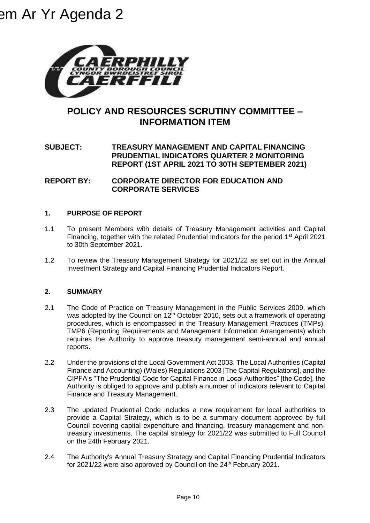

# **POLICY AND RESOURCES SCRUTINY COMMITTEE – INFORMATION ITEM**

## **SUBJECT: TREASURY MANAGEMENT AND CAPITAL FINANCING PRUDENTIAL INDICATORS QUARTER 2 MONITORING REPORT (1ST APRIL 2021 TO 30TH SEPTEMBER 2021)**

### **REPORT BY: CORPORATE DIRECTOR FOR EDUCATION AND CORPORATE SERVICES**

### **1. PURPOSE OF REPORT**

- 1.1 To present Members with details of Treasury Management activities and Capital Financing, together with the related Prudential Indicators for the period  $1<sup>st</sup>$  April 2021 to 30th September 2021.
- 1.2 To review the Treasury Management Strategy for 2021/22 as set out in the Annual Investment Strategy and Capital Financing Prudential Indicators Report.

#### **2. SUMMARY**

- 2.1 The Code of Practice on Treasury Management in the Public Services 2009, which was adopted by the Council on  $12<sup>th</sup>$  October 2010, sets out a framework of operating procedures, which is encompassed in the Treasury Management Practices (TMPs). TMP6 (Reporting Requirements and Management Information Arrangements) which requires the Authority to approve treasury management semi-annual and annual reports.
- 2.2 Under the provisions of the Local Government Act 2003, The Local Authorities (Capital Finance and Accounting) (Wales) Regulations 2003 [The Capital Regulations], and the CIPFA's "The Prudential Code for Capital Finance in Local Authorities" [the Code], the Authority is obliged to approve and publish a number of indicators relevant to Capital Finance and Treasury Management.
- 2.3 The updated Prudential Code includes a new requirement for local authorities to provide a Capital Strategy, which is to be a summary document approved by full Council covering capital expenditure and financing, treasury management and nontreasury investments. The capital strategy for 2021/22 was submitted to Full Council on the 24th February 2021.
- 2.4 The Authority's Annual Treasury Strategy and Capital Financing Prudential Indicators for 2021/22 were also approved by Council on the 24<sup>th</sup> February 2021.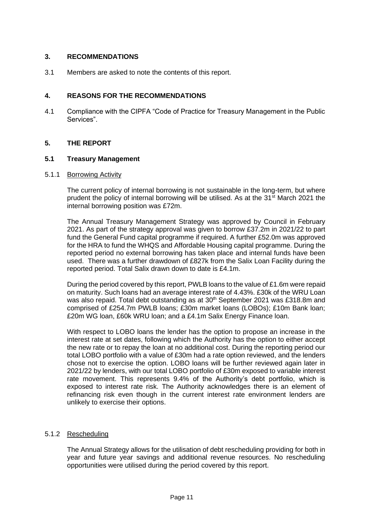#### **3. RECOMMENDATIONS**

3.1 Members are asked to note the contents of this report.

#### **4. REASONS FOR THE RECOMMENDATIONS**

4.1 Compliance with the CIPFA "Code of Practice for Treasury Management in the Public Services".

#### **5. THE REPORT**

#### **5.1 Treasury Management**

#### 5.1.1 Borrowing Activity

The current policy of internal borrowing is not sustainable in the long-term, but where prudent the policy of internal borrowing will be utilised. As at the 31<sup>st</sup> March 2021 the internal borrowing position was £72m.

The Annual Treasury Management Strategy was approved by Council in February 2021. As part of the strategy approval was given to borrow £37.2m in 2021/22 to part fund the General Fund capital programme if required. A further £52.0m was approved for the HRA to fund the WHQS and Affordable Housing capital programme. During the reported period no external borrowing has taken place and internal funds have been used. There was a further drawdown of £827k from the Salix Loan Facility during the reported period. Total Salix drawn down to date is £4.1m.

During the period covered by this report, PWLB loans to the value of £1.6m were repaid on maturity. Such loans had an average interest rate of 4.43%. £30k of the WRU Loan was also repaid. Total debt outstanding as at 30<sup>th</sup> September 2021 was £318.8m and comprised of £254.7m PWLB loans; £30m market loans (LOBOs); £10m Bank loan; £20m WG loan, £60k WRU loan; and a £4.1m Salix Energy Finance loan.

With respect to LOBO loans the lender has the option to propose an increase in the interest rate at set dates, following which the Authority has the option to either accept the new rate or to repay the loan at no additional cost. During the reporting period our total LOBO portfolio with a value of £30m had a rate option reviewed, and the lenders chose not to exercise the option. LOBO loans will be further reviewed again later in 2021/22 by lenders, with our total LOBO portfolio of £30m exposed to variable interest rate movement. This represents 9.4% of the Authority's debt portfolio, which is exposed to interest rate risk. The Authority acknowledges there is an element of refinancing risk even though in the current interest rate environment lenders are unlikely to exercise their options.

#### 5.1.2 Rescheduling

The Annual Strategy allows for the utilisation of debt rescheduling providing for both in year and future year savings and additional revenue resources. No rescheduling opportunities were utilised during the period covered by this report.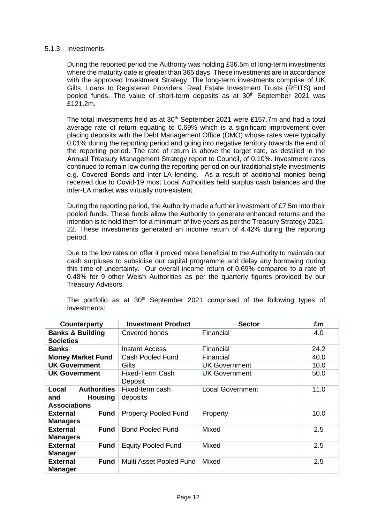#### 5.1.3 Investments

During the reported period the Authority was holding £36.5m of long-term investments where the maturity date is greater than 365 days. These investments are in accordance with the approved Investment Strategy. The long-term investments comprise of UK Gilts, Loans to Registered Providers, Real Estate Investment Trusts (REITS) and pooled funds. The value of short-term deposits as at  $30<sup>th</sup>$  September 2021 was £121.2m.

The total investments held as at  $30<sup>th</sup>$  September 2021 were £157.7m and had a total average rate of return equating to 0.69% which is a significant improvement over placing deposits with the Debt Management Office (DMO) whose rates were typically 0.01% during the reporting period and going into negative territory towards the end of the reporting period. The rate of return is above the target rate, as detailed in the Annual Treasury Management Strategy report to Council, of 0.10%. Investment rates continued to remain low during the reporting period on our traditional style investments e.g. Covered Bonds and Inter-LA lending. As a result of additional monies being received due to Covid-19 most Local Authorities held surplus cash balances and the inter-LA market was virtually non-existent.

During the reporting period, the Authority made a further investment of £7.5m into their pooled funds. These funds allow the Authority to generate enhanced returns and the intention is to hold them for a minimum of five years as per the Treasury Strategy 2021- 22. These investments generated an income return of 4.42% during the reporting period.

Due to the low rates on offer it proved more beneficial to the Authority to maintain our cash surpluses to subsidise our capital programme and delay any borrowing during this time of uncertainty. Our overall income return of 0.69% compared to a rate of 0.48% for 9 other Welsh Authorities as per the quarterly figures provided by our Treasury Advisors.

| Counterparty                                                                | <b>Investment Product</b>   | <b>Sector</b>           | £m   |
|-----------------------------------------------------------------------------|-----------------------------|-------------------------|------|
| <b>Banks &amp; Building</b><br><b>Societies</b>                             | Covered bonds               | Financial               | 4.0  |
| <b>Banks</b>                                                                | <b>Instant Access</b>       | Financial               | 24.2 |
| <b>Money Market Fund</b>                                                    | <b>Cash Pooled Fund</b>     | Financial               | 40.0 |
| <b>UK Government</b>                                                        | Gilts                       | <b>UK Government</b>    | 10.0 |
| <b>UK Government</b>                                                        | Fixed-Term Cash<br>Deposit  | <b>UK Government</b>    | 50.0 |
| <b>Authorities</b><br>Local<br><b>Housing</b><br>and<br><b>Associations</b> | Fixed-term cash<br>deposits | <b>Local Government</b> | 11.0 |
| <b>Fund</b><br><b>External</b><br><b>Managers</b>                           | <b>Property Pooled Fund</b> | Property                | 10.0 |
| <b>External</b><br><b>Fund</b><br><b>Managers</b>                           | <b>Bond Pooled Fund</b>     | Mixed                   | 2.5  |
| <b>External</b><br><b>Fund</b><br><b>Manager</b>                            | <b>Equity Pooled Fund</b>   | Mixed                   | 2.5  |
| <b>External</b><br><b>Fund</b><br><b>Manager</b>                            | Multi Asset Pooled Fund     | Mixed                   | 2.5  |

The portfolio as at  $30<sup>th</sup>$  September 2021 comprised of the following types of investments: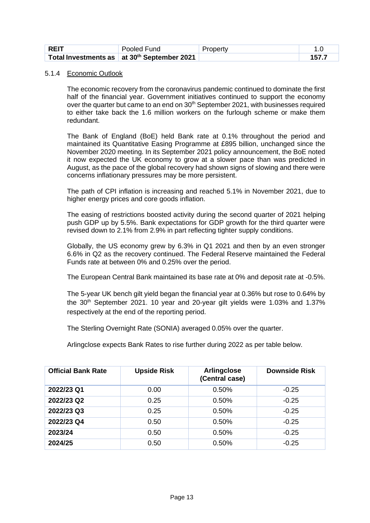| , REIT | Pooled Fund                                             | Property |  |
|--------|---------------------------------------------------------|----------|--|
|        | Total Investments as at 30 <sup>th</sup> September 2021 |          |  |

#### 5.1.4 Economic Outlook

 The economic recovery from the coronavirus pandemic continued to dominate the first half of the financial year. Government initiatives continued to support the economy over the quarter but came to an end on 30<sup>th</sup> September 2021, with businesses required to either take back the 1.6 million workers on the furlough scheme or make them redundant.

The Bank of England (BoE) held Bank rate at 0.1% throughout the period and maintained its Quantitative Easing Programme at £895 billion, unchanged since the November 2020 meeting. In its September 2021 policy announcement, the BoE noted it now expected the UK economy to grow at a slower pace than was predicted in August, as the pace of the global recovery had shown signs of slowing and there were concerns inflationary pressures may be more persistent.

The path of CPI inflation is increasing and reached 5.1% in November 2021, due to higher energy prices and core goods inflation.

The easing of restrictions boosted activity during the second quarter of 2021 helping push GDP up by 5.5%. Bank expectations for GDP growth for the third quarter were revised down to 2.1% from 2.9% in part reflecting tighter supply conditions.

Globally, the US economy grew by 6.3% in Q1 2021 and then by an even stronger 6.6% in Q2 as the recovery continued. The Federal Reserve maintained the Federal Funds rate at between 0% and 0.25% over the period.

The European Central Bank maintained its base rate at 0% and deposit rate at -0.5%.

The 5-year UK bench gilt yield began the financial year at 0.36% but rose to 0.64% by the 30<sup>th</sup> September 2021. 10 year and 20-year gilt yields were 1.03% and 1.37% respectively at the end of the reporting period.

The Sterling Overnight Rate (SONIA) averaged 0.05% over the quarter.

Arlingclose expects Bank Rates to rise further during 2022 as per table below.

| <b>Official Bank Rate</b> | <b>Upside Risk</b> | <b>Arlingclose</b><br>(Central case) | <b>Downside Risk</b> |
|---------------------------|--------------------|--------------------------------------|----------------------|
| 2022/23 Q1                | 0.00               | 0.50%                                | $-0.25$              |
| 2022/23 Q2                | 0.25               | 0.50%                                | $-0.25$              |
| 2022/23 Q3                | 0.25               | 0.50%                                | $-0.25$              |
| 2022/23 Q4                | 0.50               | 0.50%                                | $-0.25$              |
| 2023/24                   | 0.50               | 0.50%                                | $-0.25$              |
| 2024/25                   | 0.50               | 0.50%                                | $-0.25$              |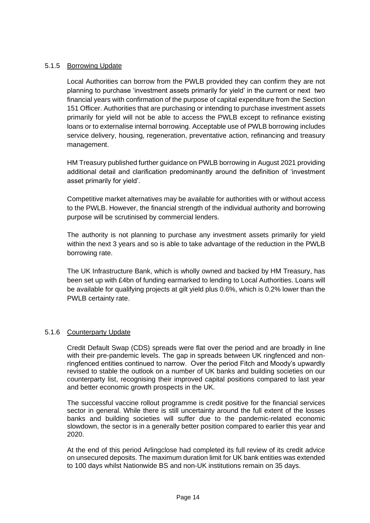#### 5.1.5 Borrowing Update

Local Authorities can borrow from the PWLB provided they can confirm they are not planning to purchase 'investment assets primarily for yield' in the current or next two financial years with confirmation of the purpose of capital expenditure from the Section 151 Officer. Authorities that are purchasing or intending to purchase investment assets primarily for yield will not be able to access the PWLB except to refinance existing loans or to externalise internal borrowing. Acceptable use of PWLB borrowing includes service delivery, housing, regeneration, preventative action, refinancing and treasury management.

HM Treasury published further guidance on PWLB borrowing in August 2021 providing additional detail and clarification predominantly around the definition of 'investment asset primarily for yield'.

Competitive market alternatives may be available for authorities with or without access to the PWLB. However, the financial strength of the individual authority and borrowing purpose will be scrutinised by commercial lenders.

The authority is not planning to purchase any investment assets primarily for yield within the next 3 years and so is able to take advantage of the reduction in the PWLB borrowing rate.

The UK Infrastructure Bank, which is wholly owned and backed by HM Treasury, has been set up with £4bn of funding earmarked to lending to Local Authorities. Loans will be available for qualifying projects at gilt yield plus 0.6%, which is 0.2% lower than the PWLB certainty rate.

#### 5.1.6 Counterparty Update

Credit Default Swap (CDS) spreads were flat over the period and are broadly in line with their pre-pandemic levels. The gap in spreads between UK ringfenced and nonringfenced entities continued to narrow. Over the period Fitch and Moody's upwardly revised to stable the outlook on a number of UK banks and building societies on our counterparty list, recognising their improved capital positions compared to last year and better economic growth prospects in the UK.

The successful vaccine rollout programme is credit positive for the financial services sector in general. While there is still uncertainty around the full extent of the losses banks and building societies will suffer due to the pandemic-related economic slowdown, the sector is in a generally better position compared to earlier this year and 2020.

At the end of this period Arlingclose had completed its full review of its credit advice on unsecured deposits. The maximum duration limit for UK bank entities was extended to 100 days whilst Nationwide BS and non-UK institutions remain on 35 days.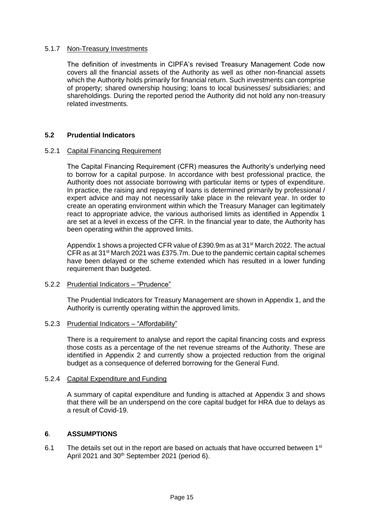#### 5.1.7 Non-Treasury Investments

The definition of investments in CIPFA's revised Treasury Management Code now covers all the financial assets of the Authority as well as other non-financial assets which the Authority holds primarily for financial return. Such investments can comprise of property; shared ownership housing; loans to local businesses/ subsidiaries; and shareholdings. During the reported period the Authority did not hold any non-treasury related investments.

#### **5.2 Prudential Indicators**

#### 5.2.1 Capital Financing Requirement

The Capital Financing Requirement (CFR) measures the Authority's underlying need to borrow for a capital purpose. In accordance with best professional practice, the Authority does not associate borrowing with particular items or types of expenditure. In practice, the raising and repaying of loans is determined primarily by professional / expert advice and may not necessarily take place in the relevant year. In order to create an operating environment within which the Treasury Manager can legitimately react to appropriate advice, the various authorised limits as identified in Appendix 1 are set at a level in excess of the CFR. In the financial year to date, the Authority has been operating within the approved limits.

Appendix 1 shows a projected CFR value of £390.9m as at 31<sup>st</sup> March 2022. The actual CFR as at 31st March 2021 was £375.7m. Due to the pandemic certain capital schemes have been delayed or the scheme extended which has resulted in a lower funding requirement than budgeted.

#### 5.2.2 Prudential Indicators – "Prudence"

The Prudential Indicators for Treasury Management are shown in Appendix 1, and the Authority is currently operating within the approved limits.

#### 5.2.3 Prudential Indicators – "Affordability"

There is a requirement to analyse and report the capital financing costs and express those costs as a percentage of the net revenue streams of the Authority. These are identified in Appendix 2 and currently show a projected reduction from the original budget as a consequence of deferred borrowing for the General Fund.

#### 5.2.4 Capital Expenditure and Funding

A summary of capital expenditure and funding is attached at Appendix 3 and shows that there will be an underspend on the core capital budget for HRA due to delays as a result of Covid-19.

#### **6**. **ASSUMPTIONS**

6.1 The details set out in the report are based on actuals that have occurred between  $1<sup>st</sup>$ April 2021 and 30<sup>th</sup> September 2021 (period 6).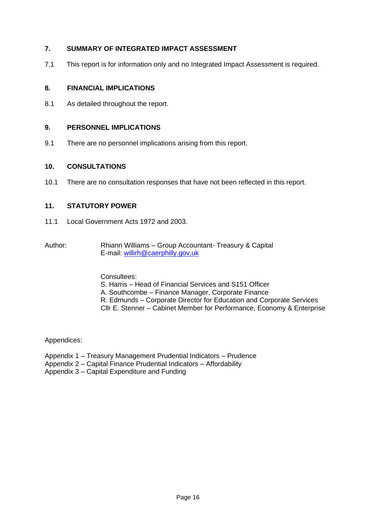#### **7. SUMMARY OF INTEGRATED IMPACT ASSESSMENT**

7.1 This report is for information only and no Integrated Impact Assessment is required.

#### **8. FINANCIAL IMPLICATIONS**

8.1 As detailed throughout the report.

#### **9. PERSONNEL IMPLICATIONS**

9.1 There are no personnel implications arising from this report.

#### **10. CONSULTATIONS**

10.1 There are no consultation responses that have not been reflected in this report.

#### **11. STATUTORY POWER**

- 11.1 Local Government Acts 1972 and 2003.
- Author: Rhiann Williams Group Accountant- Treasury & Capital E-mail: willirh@caerphilly.gov,uk

#### Consultees:

- S. Harris Head of Financial Services and S151 Officer
- A. Southcombe Finance Manager, Corporate Finance
- R. Edmunds Corporate Director for Education and Corporate Services
- Cllr E. Stenner Cabinet Member for Performance, Economy & Enterprise

Appendices:

Appendix 1 – Treasury Management Prudential Indicators – Prudence

Appendix 2 – Capital Finance Prudential Indicators – Affordability

Appendix 3 – Capital Expenditure and Funding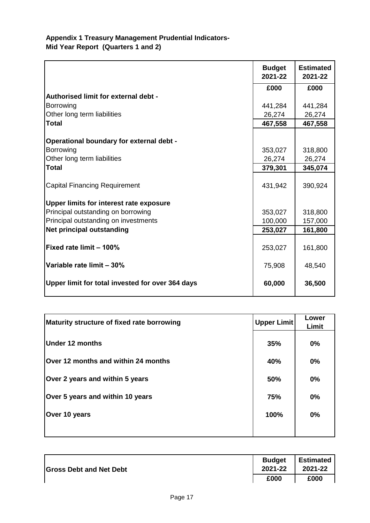# **Appendix 1 Treasury Management Prudential Indicators-Mid Year Report (Quarters 1 and 2)**

|                                                  | <b>Budget</b><br>2021-22 | <b>Estimated</b><br>2021-22 |
|--------------------------------------------------|--------------------------|-----------------------------|
|                                                  | £000                     | £000                        |
| Authorised limit for external debt -             |                          |                             |
| <b>Borrowing</b>                                 | 441,284                  | 441,284                     |
| Other long term liabilities                      | 26,274                   | 26,274                      |
| <b>Total</b>                                     | 467,558                  | 467,558                     |
| Operational boundary for external debt -         |                          |                             |
| Borrowing                                        | 353,027                  | 318,800                     |
| Other long term liabilities                      | 26,274                   | 26,274                      |
| <b>Total</b>                                     | 379,301                  | 345,074                     |
| <b>Capital Financing Requirement</b>             | 431,942                  | 390,924                     |
| Upper limits for interest rate exposure          |                          |                             |
| Principal outstanding on borrowing               | 353,027                  | 318,800                     |
| Principal outstanding on investments             | 100,000                  | 157,000                     |
| <b>Net principal outstanding</b>                 | 253,027                  | 161,800                     |
| Fixed rate limit - 100%                          | 253,027                  | 161,800                     |
| Variable rate limit - 30%                        | 75,908                   | 48,540                      |
| Upper limit for total invested for over 364 days | 60,000                   | 36,500                      |

| Maturity structure of fixed rate borrowing | <b>Upper Limit</b> | Lower<br>Limit |
|--------------------------------------------|--------------------|----------------|
| Under 12 months                            | 35%                | 0%             |
| Over 12 months and within 24 months        | 40%                | $0\%$          |
| Over 2 years and within 5 years            | 50%                | 0%             |
| Over 5 years and within 10 years           | 75%                | $0\%$          |
| Over 10 years                              | 100%               | 0%             |
|                                            |                    |                |

| <b>Gross Debt and Net Debt</b> | <b>Budget</b><br>2021-22 | Estimated<br>2021-22 |
|--------------------------------|--------------------------|----------------------|
|                                | £000                     | £000                 |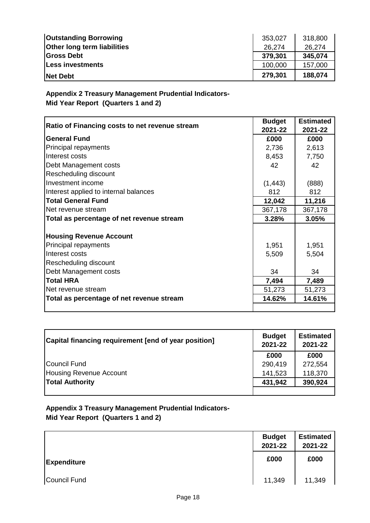| <b>Outstanding Borrowing</b>       | 353,027 | 318,800 |
|------------------------------------|---------|---------|
| <b>Other long term liabilities</b> | 26.274  | 26.274  |
| <b>Gross Debt</b>                  | 379,301 | 345,074 |
| Less investments                   | 100,000 | 157,000 |
| <b>Net Debt</b>                    | 279,301 | 188,074 |

**Appendix 2 Treasury Management Prudential Indicators-Mid Year Report (Quarters 1 and 2)**

| Ratio of Financing costs to net revenue stream | <b>Budget</b><br>2021-22 | <b>Estimated</b><br>2021-22 |
|------------------------------------------------|--------------------------|-----------------------------|
| <b>General Fund</b>                            | £000                     | £000                        |
| Principal repayments                           | 2,736                    | 2,613                       |
| Interest costs                                 | 8,453                    | 7,750                       |
| Debt Management costs                          | 42                       | 42                          |
| Rescheduling discount                          |                          |                             |
| Investment income                              | (1, 443)                 | (888)                       |
| Interest applied to internal balances          | 812                      | 812                         |
| <b>Total General Fund</b>                      | 12,042                   | 11,216                      |
| Net revenue stream                             | 367,178                  | 367,178                     |
| Total as percentage of net revenue stream      | 3.28%                    | 3.05%                       |
|                                                |                          |                             |
| <b>Housing Revenue Account</b>                 |                          |                             |
| Principal repayments                           | 1,951                    | 1,951                       |
| Interest costs                                 | 5,509                    | 5,504                       |
| Rescheduling discount                          |                          |                             |
| Debt Management costs                          | 34                       | 34                          |
| <b>Total HRA</b>                               | 7,494                    | 7,489                       |
| Net revenue stream                             | 51,273                   | 51,273                      |
| Total as percentage of net revenue stream      | 14.62%                   | 14.61%                      |
|                                                |                          |                             |

| Capital financing requirement [end of year position] | <b>Budget</b><br>2021-22 | <b>Estimated</b><br>2021-22 |
|------------------------------------------------------|--------------------------|-----------------------------|
|                                                      | £000                     | £000                        |
| Council Fund                                         | 290,419                  | 272,554                     |
| Housing Revenue Account                              | 141,523                  | 118,370                     |
| <b>Total Authority</b>                               | 431,942                  | 390,924                     |
|                                                      |                          |                             |

**Appendix 3 Treasury Management Prudential Indicators-Mid Year Report (Quarters 1 and 2)**

|                    | <b>Budget</b><br>2021-22 | <b>Estimated</b><br>2021-22 |
|--------------------|--------------------------|-----------------------------|
| <b>Expenditure</b> | £000                     | £000                        |
| Council Fund       | 11,349                   | 11,349                      |